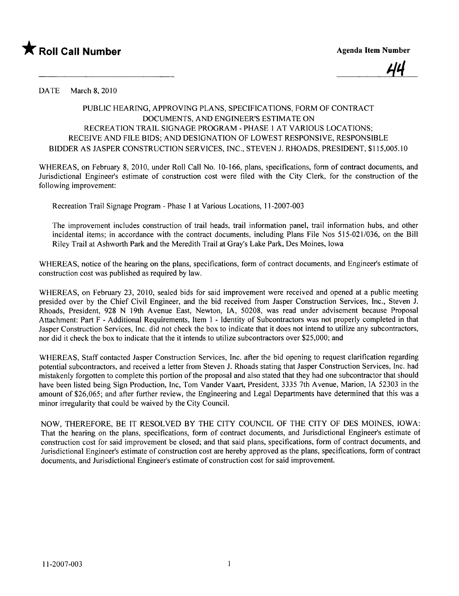

<u>44</u>

DATE March 8, 2010

## PUBLIC HEARING, APPROVING PLANS, SPECIFICATIONS, FORM OF CONTRACT DOCUMENTS, AND ENGINEER'S ESTIMATE ON RECREATION TRAIL SIGNAGE PROGRAM - PHASE 1 AT VARIOUS LOCATIONS; RECEIVE AND FILE BIDS; AND DESIGNATION OF LOWEST RESPONSIVE, RESPONSIBLE BIDDER AS JASPER CONSTRUCTION SERVICES, INC., STEVEN 1. RHOADS, PRESIDENT, \$115,005.10

WHEREAS, on February 8,2010, under Roll Call No. 10-166, plans, specifications, form of contract documents, and Jurisdictional Engineer's estimate of construction cost were fied with the City Clerk, for the construction of the following improvement:

Recreation Trail Signage Program - Phase I at Various Locations, 11-2007-003

The improvement includes construction of trail heads, trail information panel, trail information hubs, and other incidental items; in accordance with the contract documents, including Plans File Nos 515-021/036, on the Bil Riley Trail at Ashworth Park and the Meredith Trail at Gray's Lake Park, Des Moines, Iowa

WHEREAS, notice of the hearing on the plans, specifications, form of contract documents, and Engineer's estimate of construction cost was published as required by law.

WHEREAS, on February 23, 2010, sealed bids for said improvement were received and opened at a public meeting presided over by the Chief Civil Engineer, and the bid received from Jasper Construction Services, Inc., Steven J. Rhoads, President, 928 N 19th A venue East, Newton, lA, 50208, was read under advisement because Proposal Attachment: Part F - Additional Requirements, Item I - Identity of Subcontractors was not properly completed in that Jasper Construction Services, Inc. did not check the box to indicate that it does not intend to utilze any subcontractors, nor did it check the box to indicate that the it intends to utilize subcontractors over \$25,000; and

WHEREAS, Staff contacted Jasper Construction Services, Inc. after the bid opening to request clarification regarding potential subcontractors, and received a letter from Steven J. Rhoads stating that Jasper Construction Services, Inc. had mistakenly forgotten to complete this portion of the proposal and also stated that they had one subcontractor that should have been listed being Sign Production, Inc, Tom Vander Vaart, President, 3335 7th Avenue, Marion, IA 52303 in the amount of \$26,065; and after further review, the Engineering and Legal Departments have determined that this was a minor irregularity that could be waived by the City CounciL.

NOW, THEREFORE, BE IT RESOLVED BY THE CITY COUNCIL OF THE CITY OF DES MOINES, IOWA: That the hearing on the plans, specifications, form of contract documents, and Jurisdictional Engineer's estimate of construction cost for said improvement be closed; and that said plans, specifications, form of contract documents, and Jurisdictional Engineer's estimate of construction cost are hereby approved as the plans, specifications, form of contract documents, and Jurisdictional Engineer's estimate of construction cost for said improvement.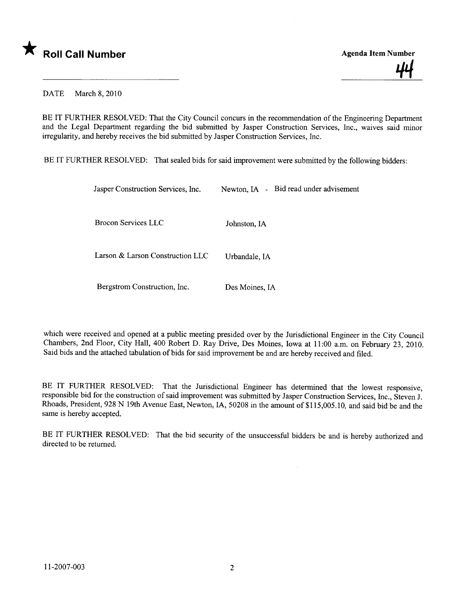

<u>44</u>

DATE March 8, 2010

BE IT FURTHER RESOLVED: That the City Council concurs in the recommendation of the Engineering Department and the Legal Department regarding the bid submitted by Jasper Construction Services, Inc., waives said minor irregularity, and hereby receives the bid submitted by Jasper Construction Services, Inc.

BE IT FURTHER RESOLVED: That sealed bids for said improvement were submitted by the following bidders:

| Jasper Construction Services, Inc. | Newton, IA - Bid read under advisement |
|------------------------------------|----------------------------------------|
| Brocon Services LLC                | Johnston, IA                           |
| Larson & Larson Construction LLC   | Urbandale, IA                          |
| Bergstrom Construction, Inc.       | Des Moines, IA                         |

which were received and opened at a public meeting presided over by the Jurisdictional Engineer in the City Council Chambers, 2nd Floor, City Hall, 400 Robert D. Ray Drive, Des Moines, Iowa at 11:00 a.m. on February 23, 2010. Said bids and the attached tabulation of bids for said improvement be and are hereby received and fied.

BE IT FURTHER RESOLVED: That the Jurisdictional Engineer has determined that the lowest responsive, responsible bid for the construction of said improvement was submitted by Jasper Construction Services, Inc., Steven J. Rhoads, President, 928 N 19th Avenue East, Newton, lA, 50208 in the amount of \$115,005.10, and said bid be and the same is hereby accepted.

BE IT FURTHER RESOLVED: That the bid security of the unsuccessful bidders be and is hereby authorized and directed to be returned.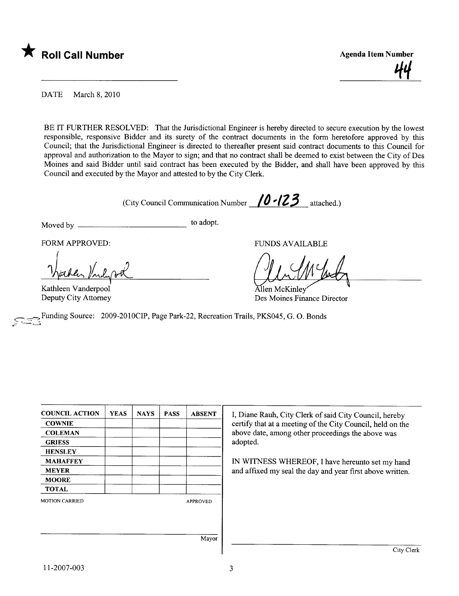

<u>44</u>

DATE March 8, 2010

BE IT FURTHER RESOLVED: That the Jurisdictional Engineer is hereby directed to secure execution by the lowest responsible, responsive Bidder and its surety of the contract documents in the form heretofore approved by this Council; that the Jurisdictional Engineer is directed to thereafter present said contract documents to this Council for approval and authorization to the Mayor to sign; and that no contract shall be deemed to exist between the City of Des Moines and said Bidder until said contract has been executed by the Bidder, and shall have been approved by this Council and executed by the Mayor and attested to by the City Clerk.

(City Council Communication Number  $/0$  - $/23$  attached.)

Moved by to adopt.

Nachen Vilgad

ا<br>Kathleen Vanderpool Deputy City Attorney

FORM APPROVED: THE RESERVED OF THE RESERVED OF THE RESERVED OF THE RESERVED OF THE RESERVED OF THE RESERVED OF THE RESERVED OF THE RESERVED OF THE RESERVED OF THE RESERVED OF THE RESERVED OF THE RESERVED OF THE RESERVED OF

FUNDS AVAILABLE

llen McKinlev Des Moines Finance Director

Funding Source: 2009-2010CIP, Page Park-22, Recreation Trails, PKS045, G. O. Bonds

| <b>COUNCIL ACTION</b> | <b>YEAS</b> | <b>NAYS</b> | <b>PASS</b> | <b>ABSENT</b>   | I, Diane Rauh, City Clerk of said City Council, hereby     |
|-----------------------|-------------|-------------|-------------|-----------------|------------------------------------------------------------|
| <b>COWNIE</b>         |             |             |             |                 | certify that at a meeting of the City Council, held on the |
| <b>COLEMAN</b>        |             |             |             |                 | above date, among other proceedings the above was          |
| <b>GRIESS</b>         |             |             |             |                 | adopted.                                                   |
| <b>HENSLEY</b>        |             |             |             |                 |                                                            |
| <b>MAHAFFEY</b>       |             |             |             |                 | IN WITNESS WHEREOF, I have hereunto set my hand            |
| <b>MEYER</b>          |             |             |             |                 | and affixed my seal the day and year first above written.  |
| <b>MOORE</b>          |             |             |             |                 |                                                            |
| <b>TOTAL</b>          |             |             |             |                 |                                                            |
| <b>MOTION CARRIED</b> |             |             |             | <b>APPROVED</b> |                                                            |
|                       |             |             |             |                 |                                                            |
|                       |             |             |             |                 |                                                            |
|                       |             |             |             |                 |                                                            |
|                       |             |             |             | Mayor           |                                                            |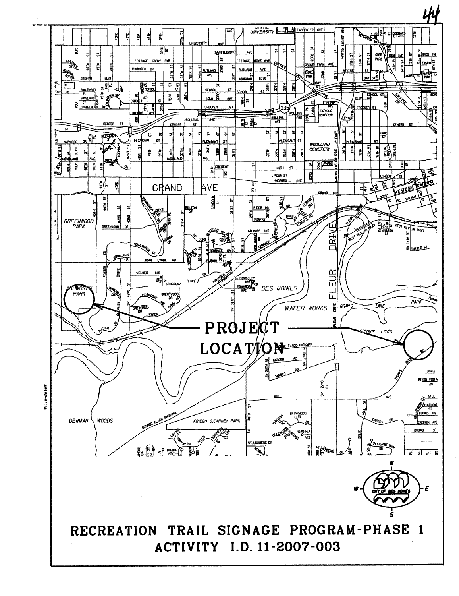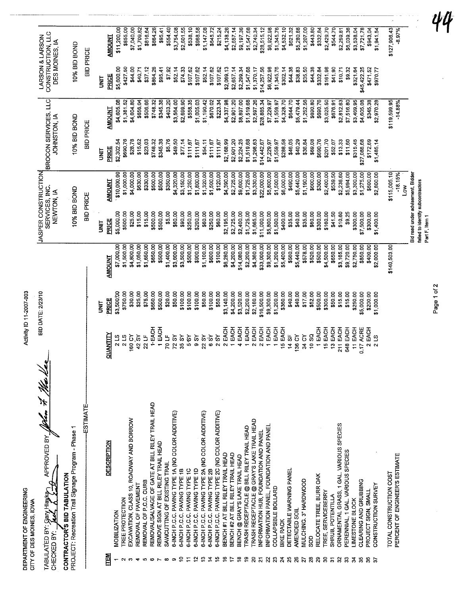| DEPARTMENT OF ENGINEERING<br>CITY OF DES MOINES, IOWA                                                           |                               | Activity ID 11-2007-003   |                           |                                                   |                                                     |                                      |                          |                                                        |                          |
|-----------------------------------------------------------------------------------------------------------------|-------------------------------|---------------------------|---------------------------|---------------------------------------------------|-----------------------------------------------------|--------------------------------------|--------------------------|--------------------------------------------------------|--------------------------|
| APPROVED BY John 79 Med lee<br>EVAPIH VIPS .YE GETA LUBAT<br>CHECKED BY:                                        |                               | <b>BID DATE: 2/23/10</b>  |                           |                                                   | JASPER CONSTRUCTION<br>SERVICES, INC.<br>NEWTON, IA | BROCON SERVICES, LLC<br>JOHNSTON, IA |                          | LARSON & LARSON<br>CONSTRUCTION, LLC<br>DES MOINES, IA |                          |
| PROJECT: Recreation Trail Signage Program - Phase 1<br>CONTRACTOR'S BID TABULATION                              |                               |                           |                           |                                                   | 10% BID BOND                                        | 10% BID BOND                         |                          | 10% BID BOND                                           |                          |
| ESTIMATE                                                                                                        |                               |                           |                           |                                                   | <b>BID PRICE</b>                                    | <b>BID PRICE</b>                     |                          | <b>BID PRICE</b>                                       |                          |
|                                                                                                                 |                               | i<br>S                    |                           | <b>S</b>                                          |                                                     | iki<br>S                             |                          | <b>SINU</b>                                            |                          |
| <b>DESCRIPTION</b><br>ITEM                                                                                      | <b>QUANTITY</b>               | PRICE                     | <b>AMOUNT</b>             | PRICE                                             | <b>AMOUNT</b>                                       | PRICE                                | <b>AMOUNT</b>            | PRICE                                                  | <b>AMOUNT</b>            |
| MOBILIZATION                                                                                                    | 2 LS                          | \$3,500.00                | \$7,000.00                | \$5,000.00                                        | \$10,000.00                                         | \$2,302.54                           | \$4,605.08               | \$5,600.00                                             | \$11,200.00              |
| TREE PROTECTION                                                                                                 | 2 LS                          | \$750.00                  | \$1,500.00                | \$500.00                                          | \$1,000.00                                          | \$690.76                             | \$1,381.52               | \$427.50                                               | \$855.00                 |
| EXCAVATION, CLASS 10, ROADWAY AND BORROW<br>REMOVAL OF PAVEMENT<br>O<br>↽                                       | $180 CY$<br>42 SY             | \$30.00                   | \$4,800.00                | \$25.00                                           | \$4,000.00                                          | \$28.78                              | \$4,604.80               | \$44.00                                                | \$7,040.00               |
| REMOVAL OF P.C.C. CURB<br>5                                                                                     | 22 LF                         | \$25,00<br>\$75.00        | \$1,050.00<br>\$1,650.00  | \$15,00<br>\$15.00                                | \$630.00<br>\$330,00                                | \$23.03<br>\$15.62                   | \$506,66<br>\$656.04     | \$37.12<br>\$40.71                                     | \$1,709.82<br>\$816.64   |
| REMOVAL/SALVAGE OF GATE AT BILL RILEY TRAIL HEAD<br>$\bullet$                                                   | <b>T-EACH</b>                 | \$650.00                  | \$650.00                  | \$500.00                                          | \$500.00                                            | \$748.32                             | \$748.32                 | \$864.26                                               | \$864.26                 |
| REMOVE SIGN AT BILL RILEY TRAIL HEAD<br>$\overline{ }$                                                          | 1 EACH                        | \$500.00                  | \$500.00                  | \$500.00                                          | \$500.00                                            | \$345.38                             | \$345.38                 | \$95.41                                                | \$95.41                  |
| SAWCUTTING OF EXISTING TRAIL<br>$\infty$                                                                        | 70 LF                         | \$20.00                   | \$1,400.00                | \$5.00                                            | \$350.00                                            | \$5.76                               | \$403.20                 | \$7.92                                                 | \$554.40                 |
| 6-INCH P.C.C. PAVING TYPE 1A (NO COLOR ADDITIVE)<br>တ                                                           | 72 SY                         | \$50.00                   | \$3,600.00                | \$60.00                                           | \$4,320.00                                          | \$49.50                              | \$3,564.00               | \$52.14                                                | \$3,754.08               |
| 6-INCH P.C.C. PAVING TYPE 1B<br>∘                                                                               | 35 SY                         | \$100.00                  | \$3,500.00                | \$90,00                                           | \$3,150.00                                          | \$77.14                              | \$2,699.90               | \$74.33                                                | \$2,601.55               |
| 6-INCH P.C.C. PAVING TYPE 1C<br>6-INCH P.C.C. PAVING TYPE 1D<br>$\bf{u}$                                        | 58<br>56Y                     | \$100.00<br>\$100.00      | \$500.00                  | \$250.00                                          | \$1,250.00                                          | \$111.67                             | \$558.35                 | \$107.62                                               | \$538,10                 |
| 6-INCH P.C.C. PAVING TYPE 2A (NO COLOR ADDITIVE)<br>ొ                                                           | 22 SY                         | \$50.00                   | \$900.00<br>\$1,100.00    | \$60.00<br>\$200.00                               | \$1,800.00<br>\$1,320.00                            | \$111.67<br>\$54.11                  | \$1,005.03<br>\$1,190.42 | \$52.14<br>\$107.62                                    | \$968.58<br>\$1,147.08   |
| 6-INCH P.C.C. PAVING TYPE 2B<br>호                                                                               | $\frac{5}{3}$                 | \$100.00                  | \$600.00                  | \$250.00                                          | \$1,500.00                                          | \$111.67                             | \$670.02                 | \$107.62                                               | \$645.72                 |
| 6-INCH P.C.C. PAVING TYPE 2C (NO COLOR ADDITIVE)<br>چ                                                           | 2.5                           | \$50.00                   | \$100.00                  | \$60.00                                           | \$120.00                                            | \$111.67                             | \$223.34                 | \$107.62                                               | \$215.24                 |
| BENCH #1 AT BILL RILEY TRAIL HEAD<br>٥ŗ                                                                         | 2 EACH                        | \$3,140.00                | \$6,280.00                | \$2,195.00                                        | \$4,390.00                                          | \$2,168.99                           | \$4,337.98               | \$2,069.13                                             | \$4,138.26               |
| BENCH #2 AT BILL RILEY TRAIL HEAD                                                                               | EACH                          | \$4,200.00                | \$4,200.00                | \$2,725.00                                        | \$2,725.00                                          | \$2,901.20                           | \$2,901.20               | \$2,657.14                                             | \$2,657.14               |
| BENCH @ GRAY'S LAKE TRAIL HEAD<br>₽                                                                             | EACH<br>4                     | \$3,520.00                | \$14,080.00               | \$2,400.00                                        | \$9,600.00                                          | \$2,224.25                           | \$8,897.00               | \$2,299.34                                             | \$9,197.36               |
| TRASH RECEPTACLE @ BILL RILEY TRAIL HEAD<br><u>يہ</u>                                                           | EACH                          | \$2,200.00                | \$2,200.00                | $$1,725.00$<br>$$1,665.00$                        | \$1,725.00                                          | \$1,519.68                           | \$1,519.68               | \$1,547.68                                             | \$1,547.68               |
| TRASH RECEPTACLE @ GRAY'S LAKE TRAIL HEAD<br>INFORMATION HUB, FOUNDATION AND PANEL<br>ន<br>$\tilde{\mathbf{z}}$ | EACH<br>$\sim$                | \$2,180.00                | \$4,360.00                |                                                   | \$3,330.00                                          | \$1,298.63                           | \$2,597.26               | \$1,370.17                                             | \$2,740.34               |
| INFORMATION PANEL, FOUNDATION AND PANEL<br>Z                                                                    | 2 EACH<br>군<br>모              | \$16,500.00<br>\$9,300.00 | \$33,000.00<br>\$9,300.00 | \$11,000.00<br>\$5,800.00                         | \$22,000.00<br>\$5,800.00                           | \$14,442.67                          | \$28,885.34              | \$14,257.56                                            | \$28,515.12              |
| COLLAPSIBLE BOLLARD                                                                                             | 1 EACH                        | \$1,200.00                | \$1,200.00                | \$1,500.00                                        | \$1,500.00                                          | \$7,229,97<br>\$1,559.97             | \$7,229.97<br>\$1,559.97 | \$6,922.98<br>\$1,345.76                               | \$6,922.98<br>\$1,345.76 |
| <b>BIKE RACK</b><br>$\frac{23}{24}$                                                                             | 15 EACH                       | \$360.00                  | \$5,400.00                | \$400.00                                          | \$6,000.00                                          | \$288.58                             | \$4,328.70               | \$302.14                                               | \$4,532.10               |
| DETECTABLE WARNING PANEL<br>25                                                                                  | $14S$ F                       | \$40.00                   | \$560.00                  | \$35.00                                           | \$490.00                                            | \$46.05                              | \$644.70                 | \$44.38                                                | \$621.32                 |
| AMENDED SOIL<br>26                                                                                              | 136 CY                        | \$40.00                   | \$5,440.00                | \$40.00                                           | \$5,440.00                                          | \$40.29                              | \$5,479.44               | \$38.83                                                | \$5,280.88               |
| MULCHING. 3" HARDWOOD<br>ဥ္က<br>$\frac{27}{28}$                                                                 | 10 SQ<br>34 CY                | \$17.00                   | \$578.00                  | \$35.00                                           | \$1,190.00                                          | \$36.84                              | \$1,252.56               | \$35.50                                                | \$1,207.00               |
| RELOCATE TREE, BURR OAK<br>$\boldsymbol{z}$                                                                     | 1 EACH                        | \$52.00<br>\$500.00       | \$500.00<br>\$520.00      | \$60.00<br>\$300.00                               | \$600.00<br>\$300.00                                | \$69.08<br>\$690.76                  | \$890.80<br>\$690.76     | \$44.38<br>\$332.84                                    | \$443.80<br>\$332.84     |
| TREE, SERVICEBERRY                                                                                              | 15 EACH                       | \$300.00                  | \$4,500.00                | \$160.00                                          | \$2,400.00                                          | \$201.70                             | \$3,025.50               | \$161.98                                               | \$2,429.70               |
| SHRUB, POTENTILLA<br>95%                                                                                        | 13 EACH                       | \$50.00                   | \$650.00                  | \$41.50                                           | \$539.50                                            | \$52.07                              | \$676.91                 | \$41.90                                                | \$544.70                 |
| ORNAMENTAL GRASS, 1 GAL. VARIOUS SPECIES                                                                        | 211 EACH                      | \$15.00                   | \$3,165.00                | \$10.60                                           | \$2,236.60                                          | \$13.33                              | \$2,812.63               | \$10.71                                                | \$2,259.81               |
| PERENNIAL, 1 GAL. VARIOUS SPECIES<br>S.                                                                         | 648 EACH                      | \$15.00                   | \$9,720.00                | <b>\$9.25</b>                                     | \$5,994.00                                          | \$11,60                              | \$7,516.80               | \$9.32                                                 | \$6,039.36               |
| LIMESTONE BLOCK<br>$\mathbf{z}$                                                                                 | 11 EACH                       | \$250.00                  | \$2,750.00                | \$300.00                                          | \$3,300.00                                          | \$315.45                             | \$3,469.95               | \$321.64                                               | \$3,538.04               |
| CLEARING AND GRUBBING<br>35<br>36                                                                               | 0.17 ACRE                     | \$5,000,00                | \$850.00                  | \$7,500.00                                        | \$1,275.00                                          | \$27,088.68                          | \$4,605.08               | \$45,422.25                                            | \$7,721.78               |
| <b>CONSTRUCTION SURVEY</b><br>PROJECT SIGN, SMALL<br>$\approx$                                                  | 2 EACH                        | \$200.00                  | \$400.00                  | \$300.00                                          | \$600.00                                            | \$172.69                             | \$345,38                 | \$471.52                                               | \$943.04                 |
|                                                                                                                 | $\Omega$<br>$\mathbf{\Omega}$ | \$1,000.00                | \$2,000.00                | \$1,400.00                                        | \$2,800.00                                          | \$1,485.14                           | \$2,970.28               | \$970.77                                               | \$1,941.54               |
| TOTAL CONSTRUCTION COST                                                                                         |                               |                           | \$140,503.00              |                                                   | \$115,005.10                                        |                                      | \$119,599.95             |                                                        | \$127,906.43             |
| PERCENT OF ENGINEER'S ESTIMATE                                                                                  |                               |                           |                           |                                                   | $-18.15%$                                           |                                      | $-14.88%$                |                                                        | $-8.97%$                 |
|                                                                                                                 |                               |                           |                           |                                                   | š                                                   |                                      |                          |                                                        |                          |
|                                                                                                                 |                               |                           |                           |                                                   | Bid read under advisement. Bidden                   |                                      |                          |                                                        |                          |
|                                                                                                                 |                               |                           |                           | failed to identify subcontractors<br>Part F Hem 1 |                                                     |                                      |                          |                                                        |                          |
|                                                                                                                 |                               |                           |                           |                                                   |                                                     |                                      |                          |                                                        |                          |

Page 1 of 2

44

 $\overline{.}$